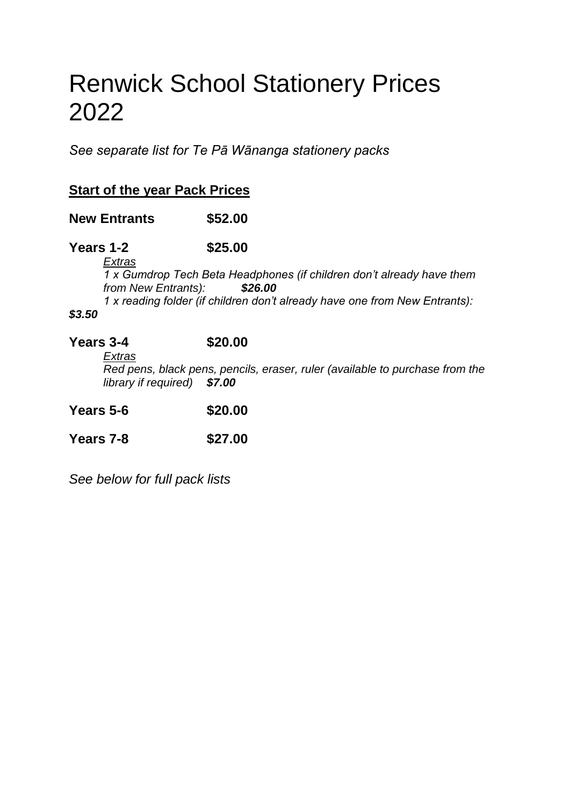# Renwick School Stationery Prices 2022

*See separate list for Te Pā Wānanga stationery packs*

## **Start of the year Pack Prices**

**New Entrants \$52.00**

**Years 1-2 \$25.00**

*Extras*

*1 x Gumdrop Tech Beta Headphones (if children don't already have them from New Entrants): \$26.00 1 x reading folder (if children don't already have one from New Entrants):* 

#### *\$3.50*

## **Years 3-4 \$20.00**

*Extras Red pens, black pens, pencils, eraser, ruler (available to purchase from the library if required) \$7.00*

**Years 5-6 \$20.00**

**Years 7-8 \$27.00**

*See below for full pack lists*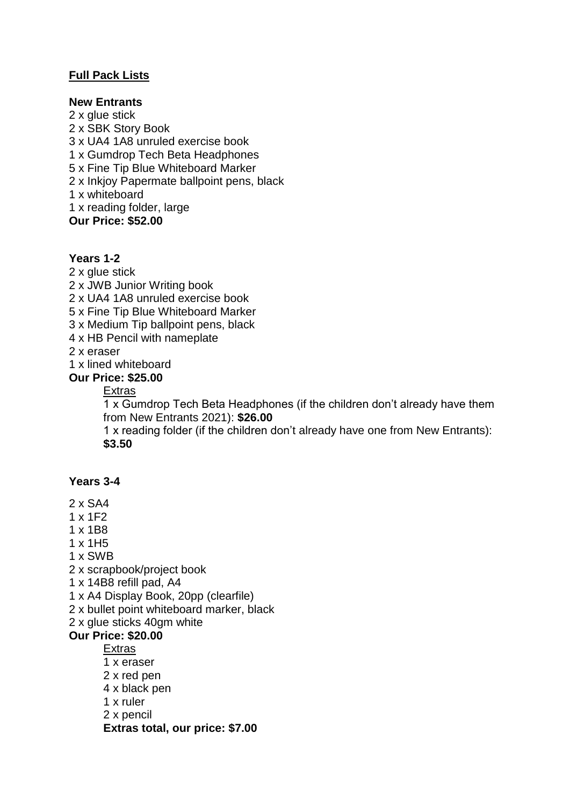## **Full Pack Lists**

#### **New Entrants**

2 x glue stick 2 x SBK Story Book 3 x UA4 1A8 unruled exercise book 1 x Gumdrop Tech Beta Headphones 5 x Fine Tip Blue Whiteboard Marker 2 x Inkjoy Papermate ballpoint pens, black 1 x whiteboard 1 x reading folder, large **Our Price: \$52.00**

#### **Years 1-2**

2 x glue stick

- 2 x JWB Junior Writing book
- 2 x UA4 1A8 unruled exercise book
- 5 x Fine Tip Blue Whiteboard Marker
- 3 x Medium Tip ballpoint pens, black
- 4 x HB Pencil with nameplate

2 x eraser

1 x lined whiteboard

#### **Our Price: \$25.00**

#### Extras

1 x Gumdrop Tech Beta Headphones (if the children don't already have them from New Entrants 2021): **\$26.00**

1 x reading folder (if the children don't already have one from New Entrants): **\$3.50**

### **Years 3-4**

- 2 x SA4
- 1 x 1F2
- 1 x 1B8
- 1 x 1H5
- 1 x SWB
- 2 x scrapbook/project book
- 1 x 14B8 refill pad, A4
- 1 x A4 Display Book, 20pp (clearfile)
- 2 x bullet point whiteboard marker, black
- 2 x glue sticks 40gm white

#### **Our Price: \$20.00**

#### Extras

- 1 x eraser
- 2 x red pen
- 4 x black pen
- 1 x ruler
- 2 x pencil

**Extras total, our price: \$7.00**